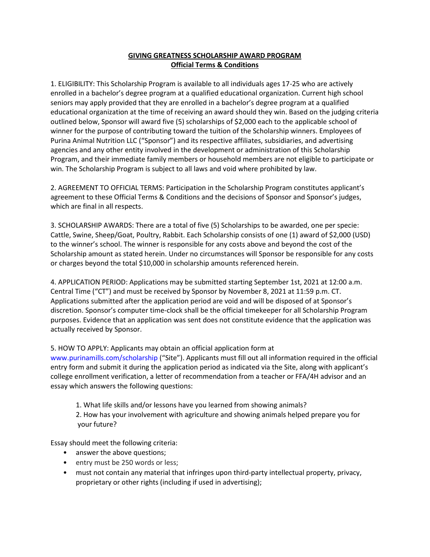## GIVING GREATNESS SCHOLARSHIP AWARD PROGRAM Official Terms & Conditions

1. ELIGIBILITY: This Scholarship Program is available to all individuals ages 17-25 who are actively enrolled in a bachelor's degree program at a qualified educational organization. Current high school seniors may apply provided that they are enrolled in a bachelor's degree program at a qualified educational organization at the time of receiving an award should they win. Based on the judging criteria outlined below, Sponsor will award five (5) scholarships of \$2,000 each to the applicable school of winner for the purpose of contributing toward the tuition of the Scholarship winners. Employees of Purina Animal Nutrition LLC ("Sponsor") and its respective affiliates, subsidiaries, and advertising agencies and any other entity involved in the development or administration of this Scholarship Program, and their immediate family members or household members are not eligible to participate or win. The Scholarship Program is subject to all laws and void where prohibited by law.

2. AGREEMENT TO OFFICIAL TERMS: Participation in the Scholarship Program constitutes applicant's agreement to these Official Terms & Conditions and the decisions of Sponsor and Sponsor's judges, which are final in all respects.

3. SCHOLARSHIP AWARDS: There are a total of five (5) Scholarships to be awarded, one per specie: Cattle, Swine, Sheep/Goat, Poultry, Rabbit. Each Scholarship consists of one (1) award of \$2,000 (USD) to the winner's school. The winner is responsible for any costs above and beyond the cost of the Scholarship amount as stated herein. Under no circumstances will Sponsor be responsible for any costs or charges beyond the total \$10,000 in scholarship amounts referenced herein.

4. APPLICATION PERIOD: Applications may be submitted starting September 1st, 2021 at 12:00 a.m. Central Time ("CT") and must be received by Sponsor by November 8, 2021 at 11:59 p.m. CT. Applications submitted after the application period are void and will be disposed of at Sponsor's discretion. Sponsor's computer time-clock shall be the official timekeeper for all Scholarship Program purposes. Evidence that an application was sent does not constitute evidence that the application was actually received by Sponsor.

5. HOW TO APPLY: Applicants may obtain an official application form at

www.purinamills.com/scholarship ("Site"). Applicants must fill out all information required in the official entry form and submit it during the application period as indicated via the Site, along with applicant's college enrollment verification, a letter of recommendation from a teacher or FFA/4H advisor and an essay which answers the following questions:

1. What life skills and/or lessons have you learned from showing animals?

2. How has your involvement with agriculture and showing animals helped prepare you for your future?

Essay should meet the following criteria:

- answer the above questions;
- entry must be 250 words or less;
- must not contain any material that infringes upon third-party intellectual property, privacy, proprietary or other rights (including if used in advertising);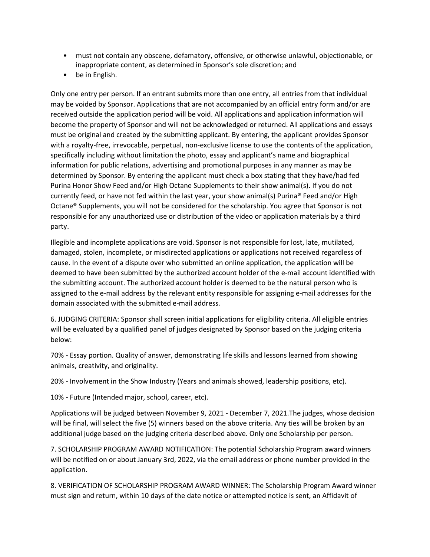- must not contain any obscene, defamatory, offensive, or otherwise unlawful, objectionable, or inappropriate content, as determined in Sponsor's sole discretion; and
- be in English.

Only one entry per person. If an entrant submits more than one entry, all entries from that individual may be voided by Sponsor. Applications that are not accompanied by an official entry form and/or are received outside the application period will be void. All applications and application information will become the property of Sponsor and will not be acknowledged or returned. All applications and essays must be original and created by the submitting applicant. By entering, the applicant provides Sponsor with a royalty-free, irrevocable, perpetual, non-exclusive license to use the contents of the application, specifically including without limitation the photo, essay and applicant's name and biographical information for public relations, advertising and promotional purposes in any manner as may be determined by Sponsor. By entering the applicant must check a box stating that they have/had fed Purina Honor Show Feed and/or High Octane Supplements to their show animal(s). If you do not currently feed, or have not fed within the last year, your show animal(s) Purina® Feed and/or High Octane® Supplements, you will not be considered for the scholarship. You agree that Sponsor is not responsible for any unauthorized use or distribution of the video or application materials by a third party.

Illegible and incomplete applications are void. Sponsor is not responsible for lost, late, mutilated, damaged, stolen, incomplete, or misdirected applications or applications not received regardless of cause. In the event of a dispute over who submitted an online application, the application will be deemed to have been submitted by the authorized account holder of the e-mail account identified with the submitting account. The authorized account holder is deemed to be the natural person who is assigned to the e-mail address by the relevant entity responsible for assigning e-mail addresses for the domain associated with the submitted e-mail address.

6. JUDGING CRITERIA: Sponsor shall screen initial applications for eligibility criteria. All eligible entries will be evaluated by a qualified panel of judges designated by Sponsor based on the judging criteria below:

70% - Essay portion. Quality of answer, demonstrating life skills and lessons learned from showing animals, creativity, and originality.

20% - Involvement in the Show Industry (Years and animals showed, leadership positions, etc).

10% - Future (Intended major, school, career, etc).

Applications will be judged between November 9, 2021 - December 7, 2021.The judges, whose decision will be final, will select the five (5) winners based on the above criteria. Any ties will be broken by an additional judge based on the judging criteria described above. Only one Scholarship per person.

7. SCHOLARSHIP PROGRAM AWARD NOTIFICATION: The potential Scholarship Program award winners will be notified on or about January 3rd, 2022, via the email address or phone number provided in the application.

8. VERIFICATION OF SCHOLARSHIP PROGRAM AWARD WINNER: The Scholarship Program Award winner must sign and return, within 10 days of the date notice or attempted notice is sent, an Affidavit of